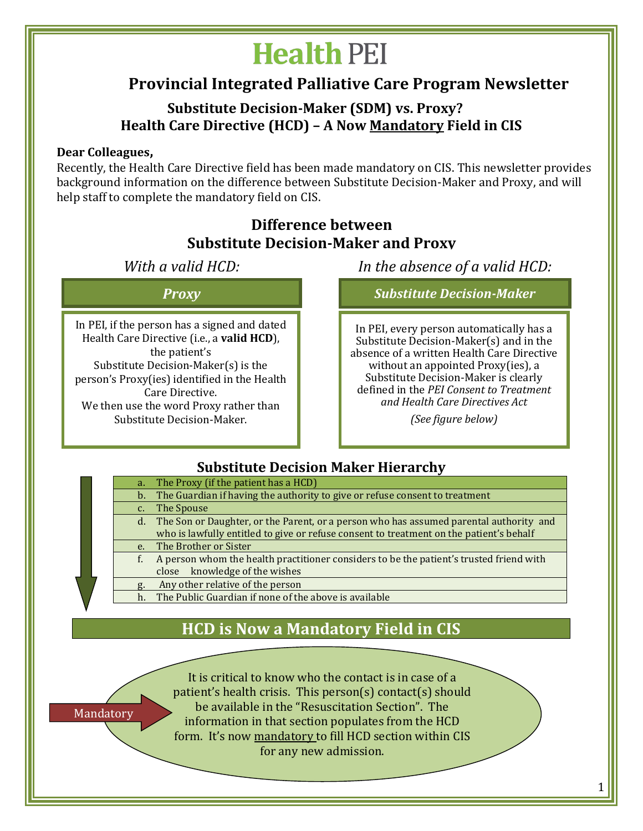# **Health PEI**

## **Provincial Integrated Palliative Care Program Newsletter**

#### **Substitute Decision-Maker (SDM) vs. Proxy? Health Care Directive (HCD) – A Now Mandatory Field in CIS**

#### **Dear Colleagues,**

Mandatory

Recently, the Health Care Directive field has been made mandatory on CIS. This newsletter provides background information on the difference between Substitute Decision-Maker and Proxy, and will help staff to complete the mandatory field on CIS.

#### **Difference between Substitute Decision-Maker and Proxy**

In PEI, if the person has a signed and dated Health Care Directive (i.e., a **valid HCD**), the patient's Substitute Decision-Maker(s) is the person's Proxy(ies) identified in the Health Care Directive. We then use the word Proxy rather than Substitute Decision-Maker.

*With a valid HCD: In the absence of a valid HCD:*

*Proxy Substitute Decision-Maker*

In PEI, every person automatically has a Substitute Decision-Maker(s) and in the absence of a written Health Care Directive without an appointed Proxy(ies), a Substitute Decision-Maker is clearly defined in the *PEI Consent to Treatment and Health Care Directives Act* 

*(See figure below)* 

#### **Substitute Decision Maker Hierarchy**

| $a_{\cdot}$ | The Proxy (if the patient has a HCD)                                                      |
|-------------|-------------------------------------------------------------------------------------------|
|             | b. The Guardian if having the authority to give or refuse consent to treatment            |
| c.          | The Spouse                                                                                |
|             | d. The Son or Daughter, or the Parent, or a person who has assumed parental authority and |
|             | who is lawfully entitled to give or refuse consent to treatment on the patient's behalf   |
|             | e. The Brother or Sister                                                                  |
| f.          | A person whom the health practitioner considers to be the patient's trusted friend with   |
|             | knowledge of the wishes<br>close                                                          |
|             | Any other relative of the person                                                          |
| h.          | The Public Guardian if none of the above is available                                     |

## **HCD is Now a Mandatory Field in CIS**